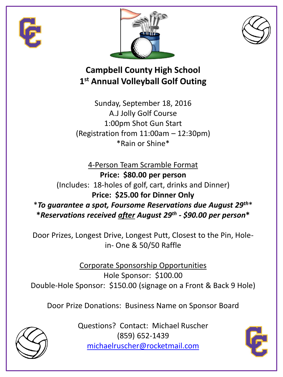





## **Campbell County High School 1 st Annual Volleyball Golf Outing**

Sunday, September 18, 2016 A.J Jolly Golf Course 1:00pm Shot Gun Start (Registration from 11:00am – 12:30pm) \*Rain or Shine\*

4-Person Team Scramble Format **Price: \$80.00 per person** (Includes: 18-holes of golf, cart, drinks and Dinner) **Price: \$25.00 for Dinner Only** \**To guarantee a spot, Foursome Reservations due August 29th*\* **\****Reservations received after August 29th - \$90.00 per person***\***

Door Prizes, Longest Drive, Longest Putt, Closest to the Pin, Holein- One & 50/50 Raffle

Corporate Sponsorship Opportunities Hole Sponsor: \$100.00 Double-Hole Sponsor: \$150.00 (signage on a Front & Back 9 Hole)

Door Prize Donations: Business Name on Sponsor Board



Questions? Contact: Michael Ruscher (859) 652-1439 [michaelruscher@rocketmail.com](mailto:michaelruscher@rocketmail.com)

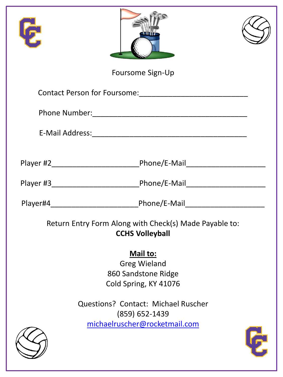| 侸                                                                                |                                            |  |  |
|----------------------------------------------------------------------------------|--------------------------------------------|--|--|
|                                                                                  | Foursome Sign-Up                           |  |  |
|                                                                                  |                                            |  |  |
|                                                                                  |                                            |  |  |
|                                                                                  |                                            |  |  |
|                                                                                  |                                            |  |  |
|                                                                                  |                                            |  |  |
|                                                                                  |                                            |  |  |
|                                                                                  |                                            |  |  |
| Return Entry Form Along with Check(s) Made Payable to:<br><b>CCHS Volleyball</b> |                                            |  |  |
|                                                                                  | Mail to:                                   |  |  |
|                                                                                  | <b>Greg Wieland</b>                        |  |  |
|                                                                                  | 860 Sandstone Ridge                        |  |  |
|                                                                                  | Cold Spring, KY 41076                      |  |  |
|                                                                                  | <b>Questions? Contact: Michael Ruscher</b> |  |  |
|                                                                                  | $(859)$ 652-1439                           |  |  |
|                                                                                  | michaelruscher@rocketmail.com              |  |  |
|                                                                                  |                                            |  |  |
|                                                                                  |                                            |  |  |